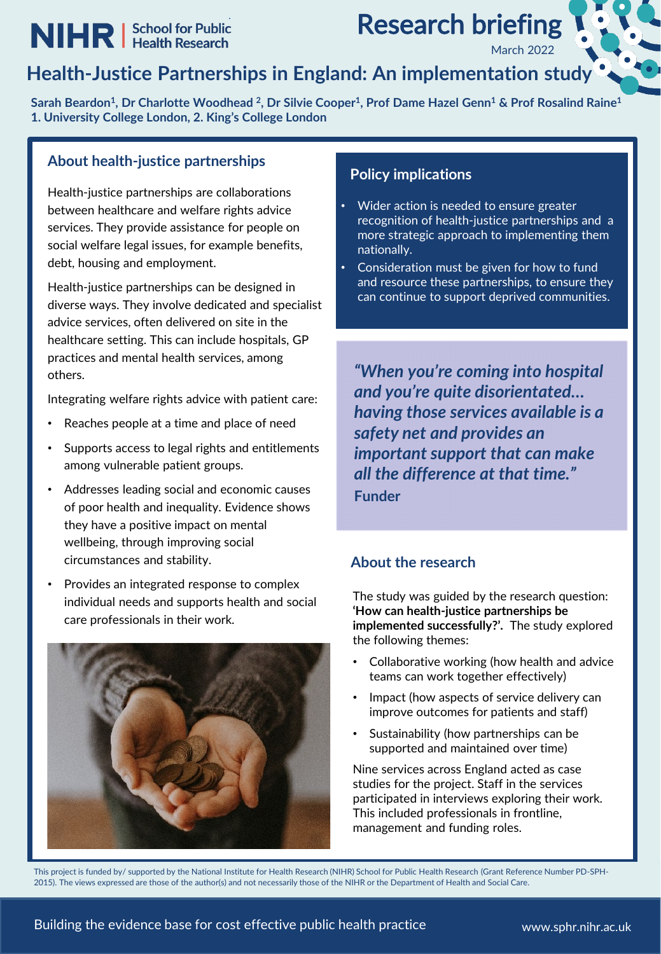# **NIHR** | School for Public

**Research briefing** 

March 2022

### **Health-Justice Partnerships in England: An implementation study**

**Sarah Beardon1, Dr Charlotte Woodhead 2, Dr Silvie Cooper1, Prof Dame Hazel Genn1 & Prof Rosalind Raine1 1. University College London, 2. King's College London**

### **About health-justice partnerships**

Health-justice partnerships are collaborations between healthcare and welfare rights advice services. They provide assistance for people on social welfare legal issues, for example benefits, debt, housing and employment.

Health-justice partnerships can be designed in diverse ways. They involve dedicated and specialist advice services, often delivered on site in the healthcare setting. This can include hospitals, GP practices and mental health services, among others.

Integrating welfare rights advice with patient care:

- Reaches people at a time and place of need
- Supports access to legal rights and entitlements among vulnerable patient groups.
- Addresses leading social and economic causes of poor health and inequality. Evidence shows they have a positive impact on mental wellbeing, through improving social circumstances and stability.
- Provides an integrated response to complex individual needs and supports health and social care professionals in their work.



### **Policy implications**

- Wider action is needed to ensure greater recognition of health-justice partnerships and a more strategic approach to implementing them nationally.
- Consideration must be given for how to fund and resource these partnerships, to ensure they can continue to support deprived communities.

*"When you're coming into hospital and you're quite disorientated… having those services available is a safety net and provides an important support that can make all the difference at that time."* **Funder**

### **About the research**

The study was guided by the research question: **'How can health-justice partnerships be implemented successfully?'.** The study explored the following themes:

- Collaborative working (how health and advice teams can work together effectively)
- Impact (how aspects of service delivery can improve outcomes for patients and staff)
- Sustainability (how partnerships can be supported and maintained over time)

Nine services across England acted as case studies for the project. Staff in the services participated in interviews exploring their work. This included professionals in frontline, management and funding roles.

This project is funded by/ supported by the National Institute for Health Research (NIHR) School for Public Health Research (Grant Reference Number PD-SPH-2015). The views expressed are those of the author(s) and not necessarily those of the NIHR or the Department of Health and Social Care.